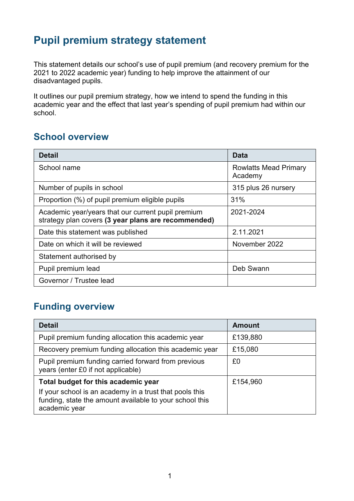# **Pupil premium strategy statement**

This statement details our school's use of pupil premium (and recovery premium for the 2021 to 2022 academic year) funding to help improve the attainment of our disadvantaged pupils.

It outlines our pupil premium strategy, how we intend to spend the funding in this academic year and the effect that last year's spending of pupil premium had within our school.

#### **School overview**

| <b>Detail</b>                                                                                             | Data                                    |
|-----------------------------------------------------------------------------------------------------------|-----------------------------------------|
| School name                                                                                               | <b>Rowlatts Mead Primary</b><br>Academy |
| Number of pupils in school                                                                                | 315 plus 26 nursery                     |
| Proportion (%) of pupil premium eligible pupils                                                           | 31%                                     |
| Academic year/years that our current pupil premium<br>strategy plan covers (3 year plans are recommended) | 2021-2024                               |
| Date this statement was published                                                                         | 2.11.2021                               |
| Date on which it will be reviewed                                                                         | November 2022                           |
| Statement authorised by                                                                                   |                                         |
| Pupil premium lead                                                                                        | Deb Swann                               |
| Governor / Trustee lead                                                                                   |                                         |

### **Funding overview**

| <b>Detail</b>                                                                                                                       | <b>Amount</b> |
|-------------------------------------------------------------------------------------------------------------------------------------|---------------|
| Pupil premium funding allocation this academic year                                                                                 | £139,880      |
| Recovery premium funding allocation this academic year                                                                              | £15,080       |
| Pupil premium funding carried forward from previous<br>years (enter £0 if not applicable)                                           | £0            |
| Total budget for this academic year                                                                                                 | £154,960      |
| If your school is an academy in a trust that pools this<br>funding, state the amount available to your school this<br>academic year |               |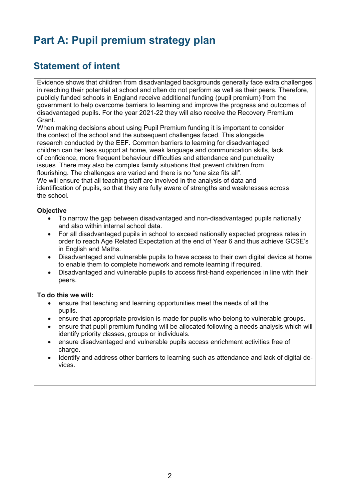# **Part A: Pupil premium strategy plan**

#### **Statement of intent**

Evidence shows that children from disadvantaged backgrounds generally face extra challenges in reaching their potential at school and often do not perform as well as their peers. Therefore, publicly funded schools in England receive additional funding (pupil premium) from the government to help overcome barriers to learning and improve the progress and outcomes of disadvantaged pupils. For the year 2021-22 they will also receive the Recovery Premium Grant.

When making decisions about using Pupil Premium funding it is important to consider the context of the school and the subsequent challenges faced. This alongside research conducted by the EEF. Common barriers to learning for disadvantaged children can be: less support at home, weak language and communication skills, lack of confidence, more frequent behaviour difficulties and attendance and punctuality issues. There may also be complex family situations that prevent children from flourishing. The challenges are varied and there is no "one size fits all". We will ensure that all teaching staff are involved in the analysis of data and identification of pupils, so that they are fully aware of strengths and weaknesses across the school.

#### **Objective**

- To narrow the gap between disadvantaged and non-disadvantaged pupils nationally and also within internal school data.
- For all disadvantaged pupils in school to exceed nationally expected progress rates in order to reach Age Related Expectation at the end of Year 6 and thus achieve GCSE's in English and Maths.
- Disadvantaged and vulnerable pupils to have access to their own digital device at home to enable them to complete homework and remote learning if required.
- Disadvantaged and vulnerable pupils to access first-hand experiences in line with their peers.

#### **To do this we will:**

- ensure that teaching and learning opportunities meet the needs of all the pupils.
- ensure that appropriate provision is made for pupils who belong to vulnerable groups.
- ensure that pupil premium funding will be allocated following a needs analysis which will identify priority classes, groups or individuals.
- ensure disadvantaged and vulnerable pupils access enrichment activities free of charge.
- Identify and address other barriers to learning such as attendance and lack of digital devices.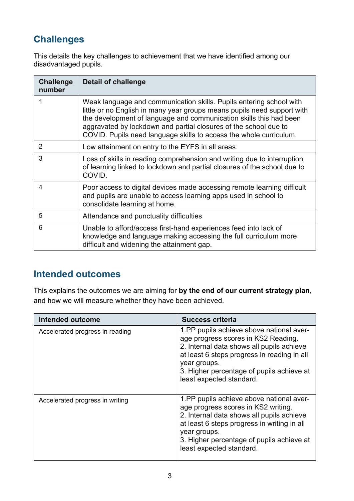## **Challenges**

This details the key challenges to achievement that we have identified among our disadvantaged pupils.

| <b>Challenge</b><br>number | <b>Detail of challenge</b>                                                                                                                                                                                                                                                                                                                                     |
|----------------------------|----------------------------------------------------------------------------------------------------------------------------------------------------------------------------------------------------------------------------------------------------------------------------------------------------------------------------------------------------------------|
|                            | Weak language and communication skills. Pupils entering school with<br>little or no English in many year groups means pupils need support with<br>the development of language and communication skills this had been<br>aggravated by lockdown and partial closures of the school due to<br>COVID. Pupils need language skills to access the whole curriculum. |
| 2                          | Low attainment on entry to the EYFS in all areas.                                                                                                                                                                                                                                                                                                              |
| 3                          | Loss of skills in reading comprehension and writing due to interruption<br>of learning linked to lockdown and partial closures of the school due to<br>COVID.                                                                                                                                                                                                  |
| 4                          | Poor access to digital devices made accessing remote learning difficult<br>and pupils are unable to access learning apps used in school to<br>consolidate learning at home.                                                                                                                                                                                    |
| 5                          | Attendance and punctuality difficulties                                                                                                                                                                                                                                                                                                                        |
| 6                          | Unable to afford/access first-hand experiences feed into lack of<br>knowledge and language making accessing the full curriculum more<br>difficult and widening the attainment gap.                                                                                                                                                                             |

### **Intended outcomes**

This explains the outcomes we are aiming for **by the end of our current strategy plan**, and how we will measure whether they have been achieved.

| <b>Intended outcome</b>         | <b>Success criteria</b>                                                                                                                                                                                                                                              |
|---------------------------------|----------------------------------------------------------------------------------------------------------------------------------------------------------------------------------------------------------------------------------------------------------------------|
| Accelerated progress in reading | 1.PP pupils achieve above national aver-<br>age progress scores in KS2 Reading.<br>2. Internal data shows all pupils achieve<br>at least 6 steps progress in reading in all<br>year groups.<br>3. Higher percentage of pupils achieve at<br>least expected standard. |
| Accelerated progress in writing | 1.PP pupils achieve above national aver-<br>age progress scores in KS2 writing.<br>2. Internal data shows all pupils achieve<br>at least 6 steps progress in writing in all<br>year groups.<br>3. Higher percentage of pupils achieve at<br>least expected standard. |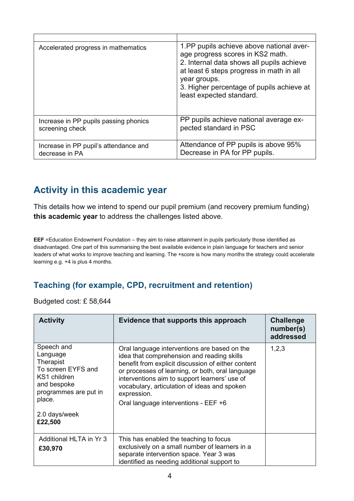| Accelerated progress in mathematics   | 1.PP pupils achieve above national aver-<br>age progress scores in KS2 math.<br>2. Internal data shows all pupils achieve<br>at least 6 steps progress in math in all<br>year groups.<br>3. Higher percentage of pupils achieve at<br>least expected standard. |
|---------------------------------------|----------------------------------------------------------------------------------------------------------------------------------------------------------------------------------------------------------------------------------------------------------------|
| Increase in PP pupils passing phonics | PP pupils achieve national average ex-                                                                                                                                                                                                                         |
| screening check                       | pected standard in PSC                                                                                                                                                                                                                                         |
| Increase in PP pupil's attendance and | Attendance of PP pupils is above 95%                                                                                                                                                                                                                           |
| decrease in PA                        | Decrease in PA for PP pupils.                                                                                                                                                                                                                                  |

### **Activity in this academic year**

This details how we intend to spend our pupil premium (and recovery premium funding) **this academic year** to address the challenges listed above.

**EEF** =Education Endowment Foundation – they aim to raise attainment in pupils particularly those identified as disadvantaged. One part of this summarising the best available evidence in plain language for teachers and senior leaders of what works to improve teaching and learning. The +score is how many months the strategy could accelerate learning e.g. +4 is plus 4 months.

#### **Teaching (for example, CPD, recruitment and retention)**

Budgeted cost: £ 58,644

| <b>Activity</b>                                                                                                                                         | Evidence that supports this approach                                                                                                                                                                                                                                                                                                                         | <b>Challenge</b><br>number(s)<br>addressed |
|---------------------------------------------------------------------------------------------------------------------------------------------------------|--------------------------------------------------------------------------------------------------------------------------------------------------------------------------------------------------------------------------------------------------------------------------------------------------------------------------------------------------------------|--------------------------------------------|
| Speech and<br>Language<br>Therapist<br>To screen EYFS and<br>KS1 children<br>and bespoke<br>programmes are put in<br>place.<br>2.0 days/week<br>£22,500 | Oral language interventions are based on the<br>idea that comprehension and reading skills<br>benefit from explicit discussion of either content<br>or processes of learning, or both, oral language<br>interventions aim to support learners' use of<br>vocabulary, articulation of ideas and spoken<br>expression.<br>Oral language interventions - EEF +6 | 1,2,3                                      |
| Additional HLTA in Yr 3<br>£30,970                                                                                                                      | This has enabled the teaching to focus<br>exclusively on a small number of learners in a<br>separate intervention space. Year 3 was<br>identified as needing additional support to                                                                                                                                                                           |                                            |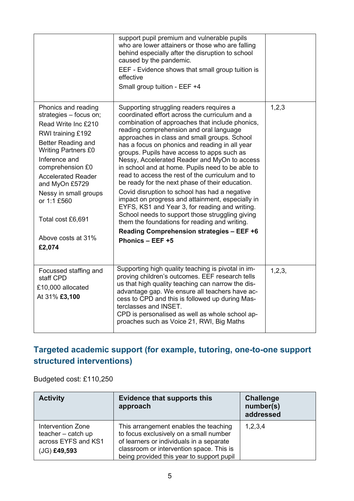|                                                                                                                                                                                                                                                                                                                                       | support pupil premium and vulnerable pupils<br>who are lower attainers or those who are falling<br>behind especially after the disruption to school<br>caused by the pandemic.<br>EEF - Evidence shows that small group tuition is<br>effective<br>Small group tuition - EEF +4                                                                                                                                                                                                                                                                                                                                                                                                                                                                                                                                                                                                 |          |
|---------------------------------------------------------------------------------------------------------------------------------------------------------------------------------------------------------------------------------------------------------------------------------------------------------------------------------------|---------------------------------------------------------------------------------------------------------------------------------------------------------------------------------------------------------------------------------------------------------------------------------------------------------------------------------------------------------------------------------------------------------------------------------------------------------------------------------------------------------------------------------------------------------------------------------------------------------------------------------------------------------------------------------------------------------------------------------------------------------------------------------------------------------------------------------------------------------------------------------|----------|
| Phonics and reading<br>strategies - focus on;<br>Read Write Inc £210<br><b>RWI training £192</b><br>Better Reading and<br><b>Writing Partners £0</b><br>Inference and<br>comprehension £0<br><b>Accelerated Reader</b><br>and MyOn £5729<br>Nessy in small groups<br>or 1:1 £560<br>Total cost £6,691<br>Above costs at 31%<br>£2,074 | Supporting struggling readers requires a<br>coordinated effort across the curriculum and a<br>combination of approaches that include phonics,<br>reading comprehension and oral language<br>approaches in class and small groups. School<br>has a focus on phonics and reading in all year<br>groups. Pupils have access to apps such as<br>Nessy, Accelerated Reader and MyOn to access<br>in school and at home. Pupils need to be able to<br>read to access the rest of the curriculum and to<br>be ready for the next phase of their education.<br>Covid disruption to school has had a negative<br>impact on progress and attainment, especially in<br>EYFS, KS1 and Year 3, for reading and writing.<br>School needs to support those struggling giving<br>them the foundations for reading and writing.<br>Reading Comprehension strategies - EEF +6<br>Phonics - EEF +5 | 1,2,3    |
| Focussed staffing and<br>staff CPD<br>£10,000 allocated<br>At 31% £3,100                                                                                                                                                                                                                                                              | Supporting high quality teaching is pivotal in im-<br>proving children's outcomes. EEF research tells<br>us that high quality teaching can narrow the dis-<br>advantage gap. We ensure all teachers have ac-<br>cess to CPD and this is followed up during Mas-<br>terclasses and INSET.<br>CPD is personalised as well as whole school ap-<br>proaches such as Voice 21, RWI, Big Maths                                                                                                                                                                                                                                                                                                                                                                                                                                                                                        | 1, 2, 3, |

#### **Targeted academic support (for example, tutoring, one-to-one support structured interventions)**

Budgeted cost: £110,250

| <b>Activity</b>                                                                  | <b>Evidence that supports this</b><br>approach                                                                                                                                                                       | <b>Challenge</b><br>number(s)<br>addressed |
|----------------------------------------------------------------------------------|----------------------------------------------------------------------------------------------------------------------------------------------------------------------------------------------------------------------|--------------------------------------------|
| Intervention Zone<br>teacher - catch up<br>across EYFS and KS1<br>$(JG)$ £49,593 | This arrangement enables the teaching<br>to focus exclusively on a small number<br>of learners or individuals in a separate<br>classroom or intervention space. This is<br>being provided this year to support pupil | 1,2,3,4                                    |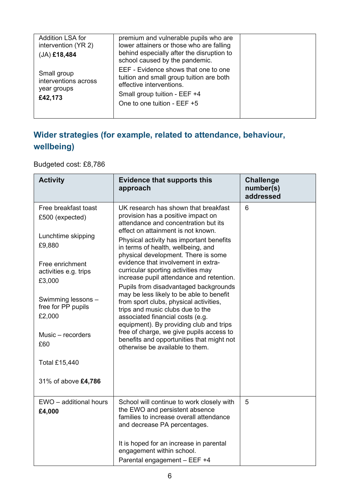| premium and vulnerable pupils who are<br>lower attainers or those who are falling<br>behind especially after the disruption to<br>school caused by the pandemic.            |  |
|-----------------------------------------------------------------------------------------------------------------------------------------------------------------------------|--|
| EEF - Evidence shows that one to one<br>tuition and small group tuition are both<br>effective interventions.<br>Small group tuition - EEF +4<br>One to one tuition - EEF +5 |  |
|                                                                                                                                                                             |  |

#### **Wider strategies (for example, related to attendance, behaviour, wellbeing)**

Budgeted cost: £8,786

| <b>Activity</b>                                    | <b>Evidence that supports this</b><br>approach                                                                                                                                                        | <b>Challenge</b><br>number(s)<br>addressed |
|----------------------------------------------------|-------------------------------------------------------------------------------------------------------------------------------------------------------------------------------------------------------|--------------------------------------------|
| Free breakfast toast<br>£500 (expected)            | UK research has shown that breakfast<br>provision has a positive impact on<br>attendance and concentration but its                                                                                    | 6                                          |
| Lunchtime skipping<br>£9,880                       | effect on attainment is not known.<br>Physical activity has important benefits<br>in terms of health, wellbeing, and<br>physical development. There is some                                           |                                            |
| Free enrichment<br>activities e.g. trips<br>£3,000 | evidence that involvement in extra-<br>curricular sporting activities may<br>increase pupil attendance and retention.<br>Pupils from disadvantaged backgrounds                                        |                                            |
| Swimming lessons -<br>free for PP pupils<br>£2,000 | may be less likely to be able to benefit<br>from sport clubs, physical activities,<br>trips and music clubs due to the<br>associated financial costs (e.g.<br>equipment). By providing club and trips |                                            |
| Music - recorders<br>£60                           | free of charge, we give pupils access to<br>benefits and opportunities that might not<br>otherwise be available to them.                                                                              |                                            |
| <b>Total £15,440</b>                               |                                                                                                                                                                                                       |                                            |
| 31% of above £4,786                                |                                                                                                                                                                                                       |                                            |
| EWO - additional hours<br>£4,000                   | School will continue to work closely with<br>the EWO and persistent absence<br>families to increase overall attendance<br>and decrease PA percentages.                                                | 5                                          |
|                                                    | It is hoped for an increase in parental<br>engagement within school.<br>Parental engagement - EEF +4                                                                                                  |                                            |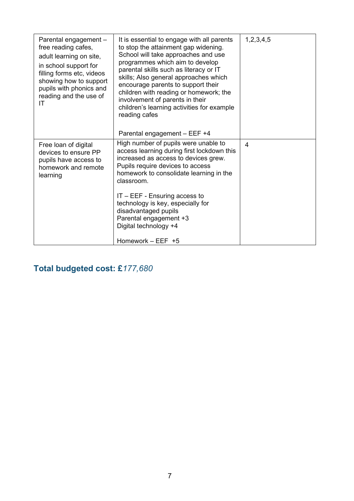| Parental engagement -<br>free reading cafes,<br>adult learning on site,<br>in school support for<br>filling forms etc, videos<br>showing how to support<br>pupils with phonics and<br>reading and the use of<br>ΙT | It is essential to engage with all parents<br>to stop the attainment gap widening.<br>School will take approaches and use<br>programmes which aim to develop<br>parental skills such as literacy or IT<br>skills; Also general approaches which<br>encourage parents to support their<br>children with reading or homework; the<br>involvement of parents in their<br>children's learning activities for example<br>reading cafes | 1,2,3,4,5      |
|--------------------------------------------------------------------------------------------------------------------------------------------------------------------------------------------------------------------|-----------------------------------------------------------------------------------------------------------------------------------------------------------------------------------------------------------------------------------------------------------------------------------------------------------------------------------------------------------------------------------------------------------------------------------|----------------|
|                                                                                                                                                                                                                    | Parental engagement - EEF +4                                                                                                                                                                                                                                                                                                                                                                                                      |                |
| Free loan of digital<br>devices to ensure PP<br>pupils have access to<br>homework and remote<br>learning                                                                                                           | High number of pupils were unable to<br>access learning during first lockdown this<br>increased as access to devices grew.<br>Pupils require devices to access<br>homework to consolidate learning in the<br>classroom.<br>$IT - EEF - Ensuring access to$<br>technology is key, especially for<br>disadvantaged pupils<br>Parental engagement +3<br>Digital technology +4<br>Homework $-$ EEF $+5$                               | $\overline{4}$ |

## **Total budgeted cost: £***177,680*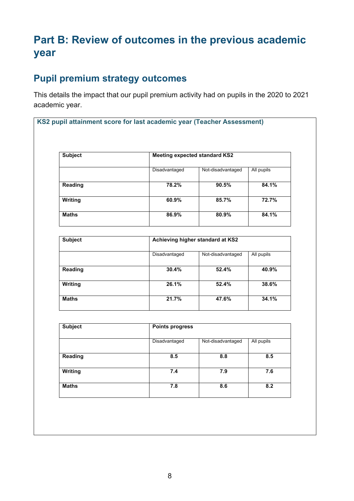# **Part B: Review of outcomes in the previous academic year**

#### **Pupil premium strategy outcomes**

This details the impact that our pupil premium activity had on pupils in the 2020 to 2021 academic year.

**KS2 pupil attainment score for last academic year (Teacher Assessment)**

| <b>Subject</b> |               | <b>Meeting expected standard KS2</b> |            |  |
|----------------|---------------|--------------------------------------|------------|--|
|                | Disadvantaged | Not-disadvantaged                    | All pupils |  |
| Reading        | 78.2%         | 90.5%                                | 84.1%      |  |
| Writing        | 60.9%         | 85.7%                                | 72.7%      |  |
| <b>Maths</b>   | 86.9%         | 80.9%                                | 84.1%      |  |

| Achieving higher standard at KS2 |                   |            |
|----------------------------------|-------------------|------------|
| Disadvantaged                    | Not-disadvantaged | All pupils |
| 30.4%                            | 52.4%             | 40.9%      |
| 26.1%                            | 52.4%             | 38.6%      |
| 21.7%                            | 47.6%             | 34.1%      |
|                                  |                   |            |

| <b>Subject</b> | <b>Points progress</b> |                   |            |
|----------------|------------------------|-------------------|------------|
|                | Disadvantaged          | Not-disadvantaged | All pupils |
| Reading        | 8.5                    | 8.8               | 8.5        |
| Writing        | 7.4                    | 7.9               | 7.6        |
| <b>Maths</b>   | 7.8                    | 8.6               | 8.2        |
|                |                        |                   |            |